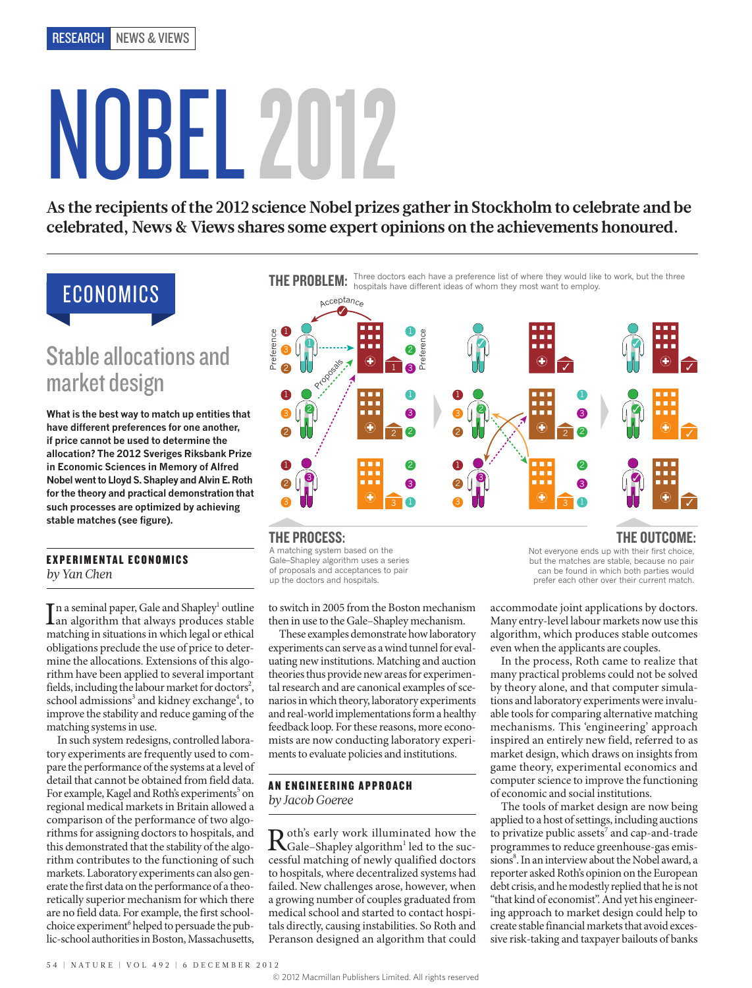# 2 3 2 2 3 3 NOBEL 2012

ressome expert opin As the recipients of the 2012 science Nobel prizes gather in Stockholm to celebrate and be celebrated, News & Views shares some expert opinions on the achievements honoured.

# ECONOMICS

## Stable allocations and market design

**What is the best way to match up entities that have different preferences for one another, if price cannot be used to determine the allocation? The 2012 Sveriges Riksbank Prize in Economic Sciences in Memory of Alfred Nobel went to Lloyd S. Shapley and Alvin E. Roth for the theory and practical demonstration that such processes are optimized by achieving stable matches (see figure).** 

### EXPERIMENTAL ECONOMICS *by Yan Chen*

In a seminal paper, Gale and Shapley<sup>1</sup> outline<br>an algorithm that always produces stable<br>matching in situations in which local or othical n a seminal paper, Gale and Shapley<sup>1</sup> outline matching in situations in which legal or ethical obligations preclude the use of price to determine the allocations. Extensions of this algorithm have been applied to several important fields, including the labour market for doctors<sup>2</sup>, school admissions<sup>3</sup> and kidney exchange<sup>4</sup>, to improve the stability and reduce gaming of the matching systems in use.

In such system redesigns, controlled laboratory experiments are frequently used to compare the performance of the systems at a level of detail that cannot be obtained from field data. For example, Kagel and Roth's experiments<sup>5</sup> on regional medical markets in Britain allowed a comparison of the performance of two algorithms for assigning doctors to hospitals, and this demonstrated that the stability of the algorithm contributes to the functioning of such markets. Laboratory experiments can also generate the first data on the performance of a theoretically superior mechanism for which there are no field data. For example, the first schoolchoice experiment<sup>6</sup> helped to persuade the public-school authorities in Boston, Massachusetts,

THE PROBLEM: Three doctors each have a preference list of where they would like to work, but the three<br>THE PROBLEM: hospitals have different ideas of whom they most want to employ.



## THE PROCESS:

A matching system based on the Gale–Shapley algorithm uses a series of proposals and acceptances to pair up the doctors and hospitals.

to switch in 2005 from the Boston mechanism then in use to the Gale–Shapley mechanism.

These examples demonstrate how laboratory experiments can serve as a wind tunnel for evaluating new institutions. Matching and auction theories thus provide new areas for experimental research and are canonical examples of scenarios in which theory, laboratory experiments and real-world implementations form a healthy feedback loop. For these reasons, more economists are now conducting laboratory experiments to evaluate policies and institutions.

## AN ENGINEERING APPROACH *by Jacob Goeree*

 $\mathbf{R}$  oth's early work illuminated how the successful matching of paythy qualified decreases cessful matching of newly qualified doctors to hospitals, where decentralized systems had failed. New challenges arose, however, when a growing number of couples graduated from medical school and started to contact hospitals directly, causing instabilities. So Roth and Peranson designed an algorithm that could

Not everyone ends up with their first choice, but the matches are stable, because no pair can be found in which both parties would prefer each other over their current match. THE OUTCOME:

accommodate joint applications by doctors. Many entry-level labour markets now use this algorithm, which produces stable outcomes even when the applicants are couples.

In the process, Roth came to realize that many practical problems could not be solved by theory alone, and that computer simulations and laboratory experiments were invaluable tools for comparing alternative matching mechanisms. This 'engineering' approach inspired an entirely new field, referred to as market design, which draws on insights from game theory, experimental economics and computer science to improve the functioning of economic and social institutions.

The tools of market design are now being applied to a host of settings, including auctions to privatize public assets<sup>7</sup> and cap-and-trade programmes to reduce greenhouse-gas emissions<sup>8</sup>. In an interview about the Nobel award, a reporter asked Roth's opinion on the European debt crisis, and he modestly replied that he is not "that kind of economist". And yet his engineering approach to market design could help to create stable financial markets that avoid excessive risk-taking and taxpayer bailouts of banks